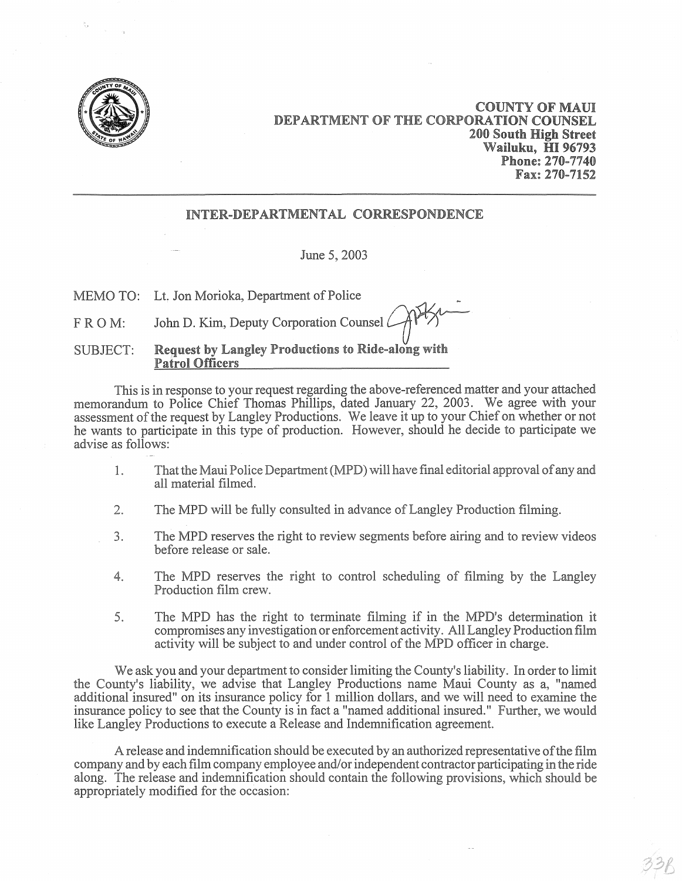

## COUNTY OF MAUl DEPARTMENT OF THE CORPORATION COUNSEL 200 South High Street Wailuku, HI 96793 Phone: 270-7740 Fax: 270-7152

## INTER-DEPARTMENTAL CORRESPONDENCE

June 5, 2003

MEMO TO: Lt. Jon Morioka, Department of Police

FROM: M: John D. Kim, Deputy Corporation Counsel

SUBJECT: ReQuest by Langley Productions to Ride-along with  $QPZ$ Patrol Officers

This is in response to your request regarding the above-referenced matter and your attached memorandum to Police Chief Thomas Phillips, dated January 22, 2003. We agree with your assessment of the request by Langley Productions. We leave it up to your Chief on whether or not he wants to participate in this type of production. However, should he decide to participate we advise as follows:

- 1. That the Maui Police Department (MPD) will have finaleditorial approval of any and all material filmed.
- 2. The MPD will be fully consulted in advance of Langley Production filming.
- 3. The MPD reserves the right to review segments before airing and to review videos before release or sale.
- 4. The MPD reserves the right to control scheduling of filming by the Langley Production film crew.
- 5. The MPD has the right to terminate filming if in the MPD's determination it compromises any investigation or enforcement activity. All Langley Production film activity will be subject to and under control of the MPD officer in charge.

We ask you and your department to consider limiting the County's liability. In order to limit the County's liability, we advise that Langley Productions name Maui County as a, "named additional insured" on its insurance policy for 1 million dollars, and we will need to examine the insurance policy to see that the County is in fact a "named additional insured." Further, we would like Langley Productions to execute a Release and Indemnification agreement.

A release and indemnification should be executed by an authorized representative ofthe film company and by each film company employee and/or independent contractor participating in the ride along. The release and indemnification should contain the following provisions, which should be appropriately modified for the occasion: